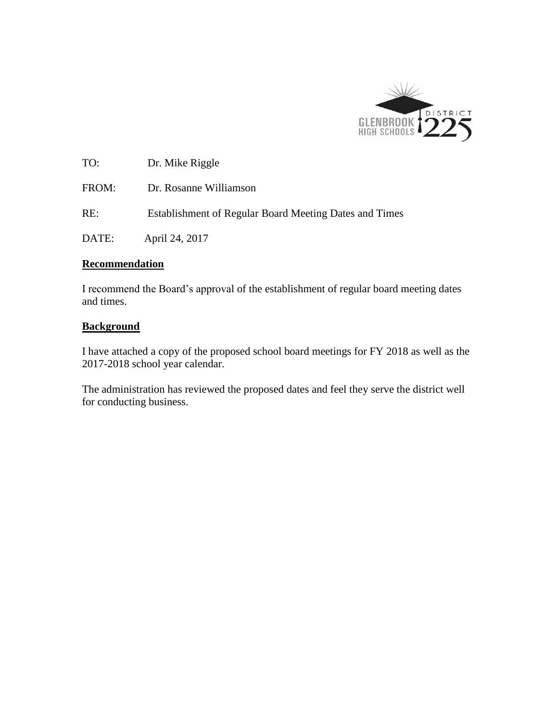

TO: Dr. Mike Riggle FROM: Dr. Rosanne Williamson RE: Establishment of Regular Board Meeting Dates and Times DATE: April 24, 2017

#### **Recommendation**

I recommend the Board's approval of the establishment of regular board meeting dates and times.

# **Background**

I have attached a copy of the proposed school board meetings for FY 2018 as well as the 2017-2018 school year calendar.

The administration has reviewed the proposed dates and feel they serve the district well for conducting business.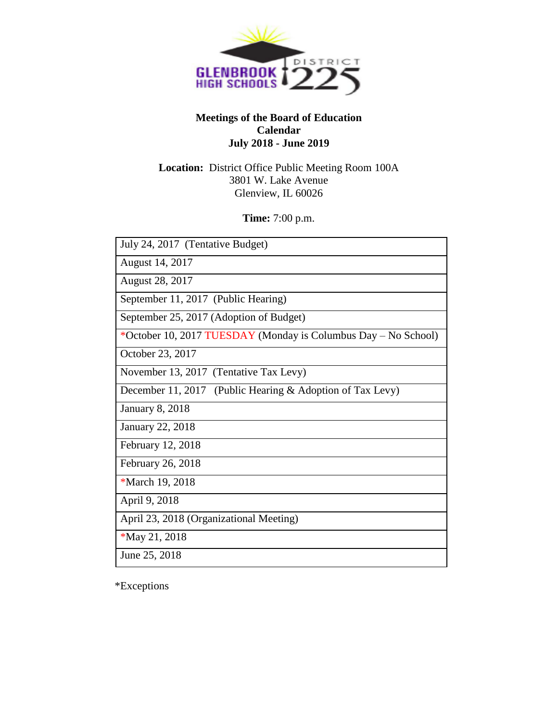

### **Meetings of the Board of Education Calendar July 2018 - June 2019**

## **Location:** District Office Public Meeting Room 100A 3801 W. Lake Avenue Glenview, IL 60026

**Time:** 7:00 p.m.

| July 24, 2017 (Tentative Budget)                               |
|----------------------------------------------------------------|
| August 14, 2017                                                |
| <b>August 28, 2017</b>                                         |
| September 11, 2017 (Public Hearing)                            |
| September 25, 2017 (Adoption of Budget)                        |
| *October 10, 2017 TUESDAY (Monday is Columbus Day – No School) |
| October 23, 2017                                               |
| November 13, 2017 (Tentative Tax Levy)                         |
| December 11, 2017 (Public Hearing & Adoption of Tax Levy)      |
| <b>January 8, 2018</b>                                         |
| <b>January 22, 2018</b>                                        |
| February 12, 2018                                              |
| February 26, 2018                                              |
| *March 19, 2018                                                |
| April 9, 2018                                                  |
| April 23, 2018 (Organizational Meeting)                        |
| *May 21, 2018                                                  |
| June 25, 2018                                                  |

\*Exceptions